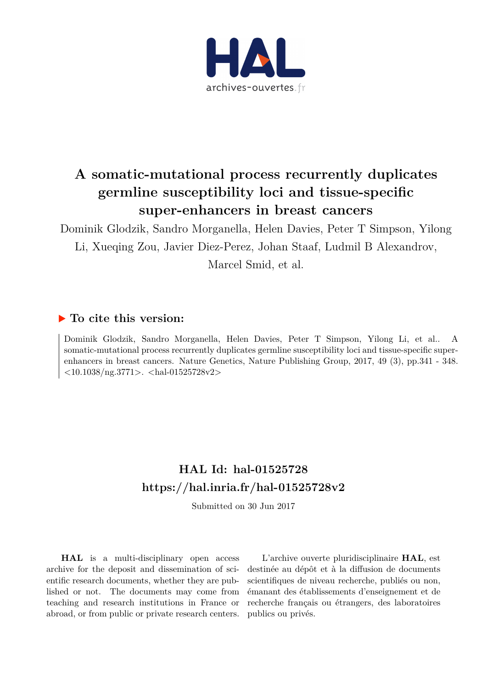

## **A somatic-mutational process recurrently duplicates germline susceptibility loci and tissue-specific super-enhancers in breast cancers**

Dominik Glodzik, Sandro Morganella, Helen Davies, Peter T Simpson, Yilong Li, Xueqing Zou, Javier Diez-Perez, Johan Staaf, Ludmil B Alexandrov,

Marcel Smid, et al.

## **To cite this version:**

Dominik Glodzik, Sandro Morganella, Helen Davies, Peter T Simpson, Yilong Li, et al.. A somatic-mutational process recurrently duplicates germline susceptibility loci and tissue-specific superenhancers in breast cancers. Nature Genetics, Nature Publishing Group, 2017, 49 (3), pp.341 - 348.  $<$ 10.1038/ng.3771>.  $<$ hal-01525728v2>

## **HAL Id: hal-01525728 <https://hal.inria.fr/hal-01525728v2>**

Submitted on 30 Jun 2017

**HAL** is a multi-disciplinary open access archive for the deposit and dissemination of scientific research documents, whether they are published or not. The documents may come from teaching and research institutions in France or abroad, or from public or private research centers.

L'archive ouverte pluridisciplinaire **HAL**, est destinée au dépôt et à la diffusion de documents scientifiques de niveau recherche, publiés ou non, émanant des établissements d'enseignement et de recherche français ou étrangers, des laboratoires publics ou privés.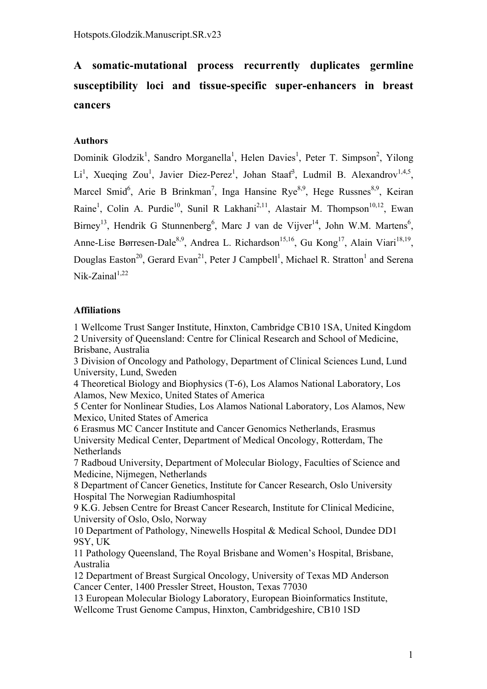# **A somatic-mutational process recurrently duplicates germline susceptibility loci and tissue-specific super-enhancers in breast cancers**

## **Authors**

Dominik Glodzik<sup>1</sup>, Sandro Morganella<sup>1</sup>, Helen Davies<sup>1</sup>, Peter T. Simpson<sup>2</sup>, Yilong Li<sup>1</sup>, Xueqing Zou<sup>1</sup>, Javier Diez-Perez<sup>1</sup>, Johan Staaf<sup>3</sup>, Ludmil B. Alexandrov<sup>1,4,5</sup>, Marcel Smid<sup>6</sup>, Arie B Brinkman<sup>7</sup>, Inga Hansine Rye<sup>8,9</sup>, Hege Russnes<sup>8,9</sup>, Keiran Raine<sup>1</sup>, Colin A. Purdie<sup>10</sup>, Sunil R Lakhani<sup>2,11</sup>, Alastair M. Thompson<sup>10,12</sup>, Ewan Birney<sup>13</sup>, Hendrik G Stunnenberg<sup>6</sup>, Marc J van de Vijver<sup>14</sup>, John W.M. Martens<sup>6</sup>, Anne-Lise Børresen-Dale<sup>8,9</sup>, Andrea L. Richardson<sup>15,16</sup>, Gu Kong<sup>17</sup>, Alain Viari<sup>18,19</sup>, Douglas Easton<sup>20</sup>, Gerard Evan<sup>21</sup>, Peter J Campbell<sup>1</sup>, Michael R. Stratton<sup>1</sup> and Serena  $Nik-Zainal<sup>1,22</sup>$ 

## **Affiliations**

1 Wellcome Trust Sanger Institute, Hinxton, Cambridge CB10 1SA, United Kingdom 2 University of Queensland: Centre for Clinical Research and School of Medicine, Brisbane, Australia

3 Division of Oncology and Pathology, Department of Clinical Sciences Lund, Lund University, Lund, Sweden

4 Theoretical Biology and Biophysics (T-6), Los Alamos National Laboratory, Los Alamos, New Mexico, United States of America

5 Center for Nonlinear Studies, Los Alamos National Laboratory, Los Alamos, New Mexico, United States of America

6 Erasmus MC Cancer Institute and Cancer Genomics Netherlands, Erasmus University Medical Center, Department of Medical Oncology, Rotterdam, The Netherlands

7 Radboud University, Department of Molecular Biology, Faculties of Science and Medicine, Nijmegen, Netherlands

8 Department of Cancer Genetics, Institute for Cancer Research, Oslo University Hospital The Norwegian Radiumhospital

9 K.G. Jebsen Centre for Breast Cancer Research, Institute for Clinical Medicine, University of Oslo, Oslo, Norway

10 Department of Pathology, Ninewells Hospital & Medical School, Dundee DD1 9SY, UK

11 Pathology Queensland, The Royal Brisbane and Women's Hospital, Brisbane, Australia

12 Department of Breast Surgical Oncology, University of Texas MD Anderson Cancer Center, 1400 Pressler Street, Houston, Texas 77030

13 European Molecular Biology Laboratory, European Bioinformatics Institute, Wellcome Trust Genome Campus, Hinxton, Cambridgeshire, CB10 1SD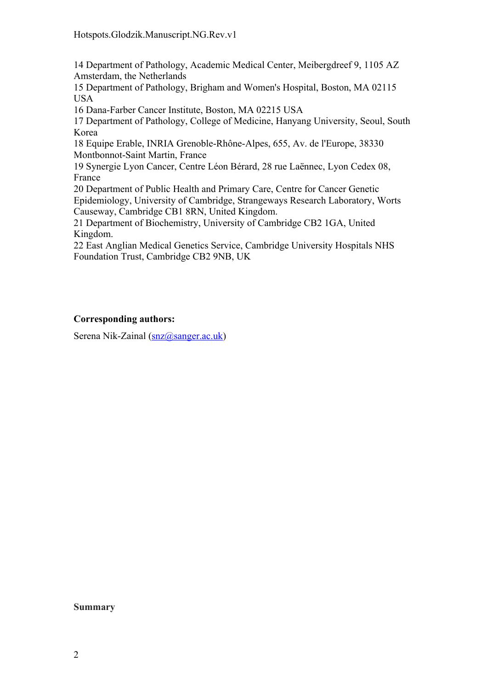14 Department of Pathology, Academic Medical Center, Meibergdreef 9, 1105 AZ Amsterdam, the Netherlands

15 Department of Pathology, Brigham and Women's Hospital, Boston, MA 02115 USA

16 Dana-Farber Cancer Institute, Boston, MA 02215 USA

17 Department of Pathology, College of Medicine, Hanyang University, Seoul, South Korea

18 Equipe Erable, INRIA Grenoble-Rhône-Alpes, 655, Av. de l'Europe, 38330 Montbonnot-Saint Martin, France

19 Synergie Lyon Cancer, Centre Léon Bérard, 28 rue Laënnec, Lyon Cedex 08, France

20 Department of Public Health and Primary Care, Centre for Cancer Genetic Epidemiology, University of Cambridge, Strangeways Research Laboratory, Worts Causeway, Cambridge CB1 8RN, United Kingdom.

21 Department of Biochemistry, University of Cambridge CB2 1GA, United Kingdom.

22 East Anglian Medical Genetics Service, Cambridge University Hospitals NHS Foundation Trust, Cambridge CB2 9NB, UK

## **Corresponding authors:**

Serena Nik-Zainal (snz@sanger.ac.uk)

#### **Summary**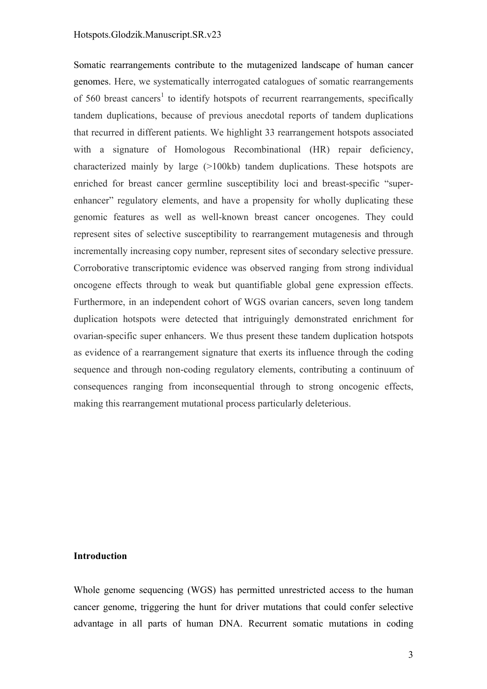#### Hotspots.Glodzik.Manuscript.SR.v23

Somatic rearrangements contribute to the mutagenized landscape of human cancer genomes. Here, we systematically interrogated catalogues of somatic rearrangements of 560 breast cancers<sup>1</sup> to identify hotspots of recurrent rearrangements, specifically tandem duplications, because of previous anecdotal reports of tandem duplications that recurred in different patients. We highlight 33 rearrangement hotspots associated with a signature of Homologous Recombinational (HR) repair deficiency, characterized mainly by large (>100kb) tandem duplications. These hotspots are enriched for breast cancer germline susceptibility loci and breast-specific "superenhancer" regulatory elements, and have a propensity for wholly duplicating these genomic features as well as well-known breast cancer oncogenes. They could represent sites of selective susceptibility to rearrangement mutagenesis and through incrementally increasing copy number, represent sites of secondary selective pressure. Corroborative transcriptomic evidence was observed ranging from strong individual oncogene effects through to weak but quantifiable global gene expression effects. Furthermore, in an independent cohort of WGS ovarian cancers, seven long tandem duplication hotspots were detected that intriguingly demonstrated enrichment for ovarian-specific super enhancers. We thus present these tandem duplication hotspots as evidence of a rearrangement signature that exerts its influence through the coding sequence and through non-coding regulatory elements, contributing a continuum of consequences ranging from inconsequential through to strong oncogenic effects, making this rearrangement mutational process particularly deleterious.

#### **Introduction**

Whole genome sequencing (WGS) has permitted unrestricted access to the human cancer genome, triggering the hunt for driver mutations that could confer selective advantage in all parts of human DNA. Recurrent somatic mutations in coding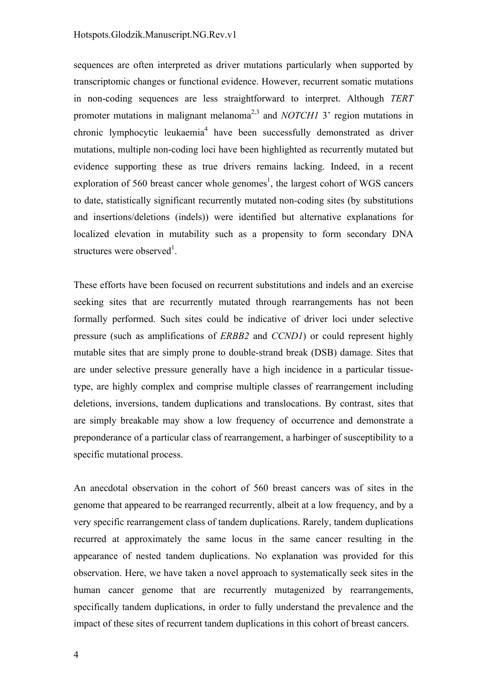#### Hotspots.Glodzik.Manuscript.NG.Rev.v1

sequences are often interpreted as driver mutations particularly when supported by transcriptomic changes or functional evidence. However, recurrent somatic mutations in non-coding sequences are less straightforward to interpret. Although *TERT* promoter mutations in malignant melanoma<sup>2,3</sup> and *NOTCH1* 3' region mutations in chronic lymphocytic leukaemia<sup>4</sup> have been successfully demonstrated as driver mutations, multiple non-coding loci have been highlighted as recurrently mutated but evidence supporting these as true drivers remains lacking. Indeed, in a recent exploration of 560 breast cancer whole genomes<sup>1</sup>, the largest cohort of WGS cancers to date, statistically significant recurrently mutated non-coding sites (by substitutions and insertions/deletions (indels)) were identified but alternative explanations for localized elevation in mutability such as a propensity to form secondary DNA structures were observed<sup>1</sup>.

These efforts have been focused on recurrent substitutions and indels and an exercise seeking sites that are recurrently mutated through rearrangements has not been formally performed. Such sites could be indicative of driver loci under selective pressure (such as amplifications of *ERBB2* and *CCND1*) or could represent highly mutable sites that are simply prone to double-strand break (DSB) damage. Sites that are under selective pressure generally have a high incidence in a particular tissuetype, are highly complex and comprise multiple classes of rearrangement including deletions, inversions, tandem duplications and translocations. By contrast, sites that are simply breakable may show a low frequency of occurrence and demonstrate a preponderance of a particular class of rearrangement, a harbinger of susceptibility to a specific mutational process.

An anecdotal observation in the cohort of 560 breast cancers was of sites in the genome that appeared to be rearranged recurrently, albeit at a low frequency, and by a very specific rearrangement class of tandem duplications. Rarely, tandem duplications recurred at approximately the same locus in the same cancer resulting in the appearance of nested tandem duplications. No explanation was provided for this observation. Here, we have taken a novel approach to systematically seek sites in the human cancer genome that are recurrently mutagenized by rearrangements, specifically tandem duplications, in order to fully understand the prevalence and the impact of these sites of recurrent tandem duplications in this cohort of breast cancers.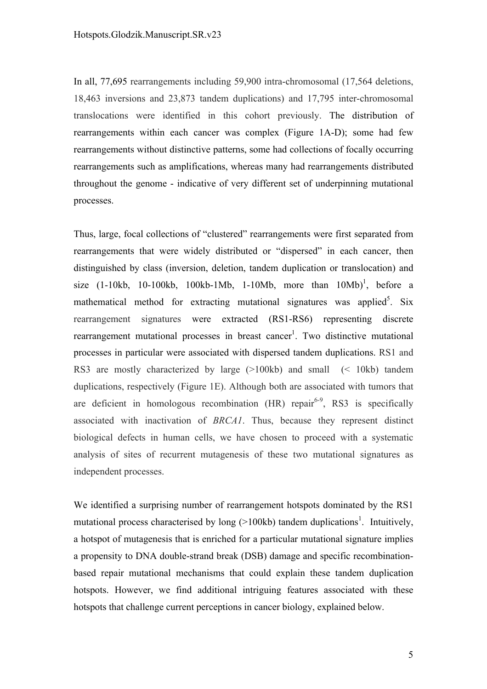In all, 77,695 rearrangements including 59,900 intra-chromosomal (17,564 deletions, 18,463 inversions and 23,873 tandem duplications) and 17,795 inter-chromosomal translocations were identified in this cohort previously. The distribution of rearrangements within each cancer was complex (Figure 1A-D); some had few rearrangements without distinctive patterns, some had collections of focally occurring rearrangements such as amplifications, whereas many had rearrangements distributed throughout the genome - indicative of very different set of underpinning mutational processes.

Thus, large, focal collections of "clustered" rearrangements were first separated from rearrangements that were widely distributed or "dispersed" in each cancer, then distinguished by class (inversion, deletion, tandem duplication or translocation) and size  $(1-10kb, 10-100kb, 100kb-1Mb, 1-10Mb, more than 10Mb)^1$ , before a mathematical method for extracting mutational signatures was applied<sup>5</sup>. Six rearrangement signatures were extracted (RS1-RS6) representing discrete rearrangement mutational processes in breast cancer<sup>1</sup>. Two distinctive mutational processes in particular were associated with dispersed tandem duplications. RS1 and RS3 are mostly characterized by large (>100kb) and small (< 10kb) tandem duplications, respectively (Figure 1E). Although both are associated with tumors that are deficient in homologous recombination  $(HR)$  repair<sup>6-9</sup>, RS3 is specifically associated with inactivation of *BRCA1*. Thus, because they represent distinct biological defects in human cells, we have chosen to proceed with a systematic analysis of sites of recurrent mutagenesis of these two mutational signatures as independent processes.

We identified a surprising number of rearrangement hotspots dominated by the RS1 mutational process characterised by long  $(>100kb)$  tandem duplications<sup>1</sup>. Intuitively, a hotspot of mutagenesis that is enriched for a particular mutational signature implies a propensity to DNA double-strand break (DSB) damage and specific recombinationbased repair mutational mechanisms that could explain these tandem duplication hotspots. However, we find additional intriguing features associated with these hotspots that challenge current perceptions in cancer biology, explained below.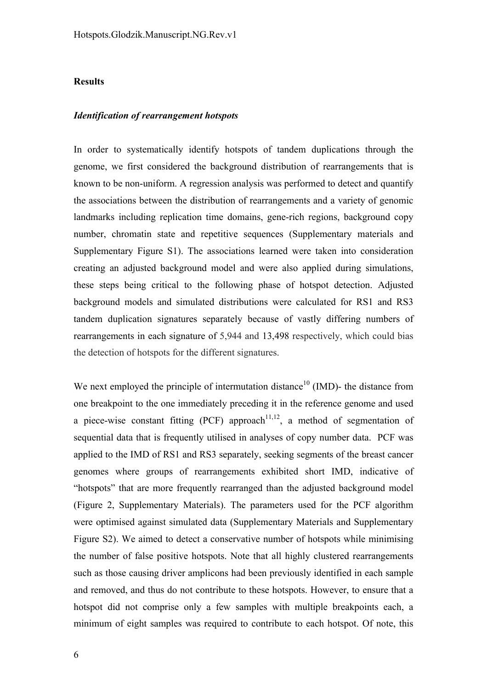#### **Results**

#### *Identification of rearrangement hotspots*

In order to systematically identify hotspots of tandem duplications through the genome, we first considered the background distribution of rearrangements that is known to be non-uniform. A regression analysis was performed to detect and quantify the associations between the distribution of rearrangements and a variety of genomic landmarks including replication time domains, gene-rich regions, background copy number, chromatin state and repetitive sequences (Supplementary materials and Supplementary Figure S1). The associations learned were taken into consideration creating an adjusted background model and were also applied during simulations, these steps being critical to the following phase of hotspot detection. Adjusted background models and simulated distributions were calculated for RS1 and RS3 tandem duplication signatures separately because of vastly differing numbers of rearrangements in each signature of 5,944 and 13,498 respectively, which could bias the detection of hotspots for the different signatures.

We next employed the principle of intermutation distance<sup>10</sup> (IMD)- the distance from one breakpoint to the one immediately preceding it in the reference genome and used a piece-wise constant fitting (PCF) approach<sup>11,12</sup>, a method of segmentation of sequential data that is frequently utilised in analyses of copy number data. PCF was applied to the IMD of RS1 and RS3 separately, seeking segments of the breast cancer genomes where groups of rearrangements exhibited short IMD, indicative of "hotspots" that are more frequently rearranged than the adjusted background model (Figure 2, Supplementary Materials). The parameters used for the PCF algorithm were optimised against simulated data (Supplementary Materials and Supplementary Figure S2). We aimed to detect a conservative number of hotspots while minimising the number of false positive hotspots. Note that all highly clustered rearrangements such as those causing driver amplicons had been previously identified in each sample and removed, and thus do not contribute to these hotspots. However, to ensure that a hotspot did not comprise only a few samples with multiple breakpoints each, a minimum of eight samples was required to contribute to each hotspot. Of note, this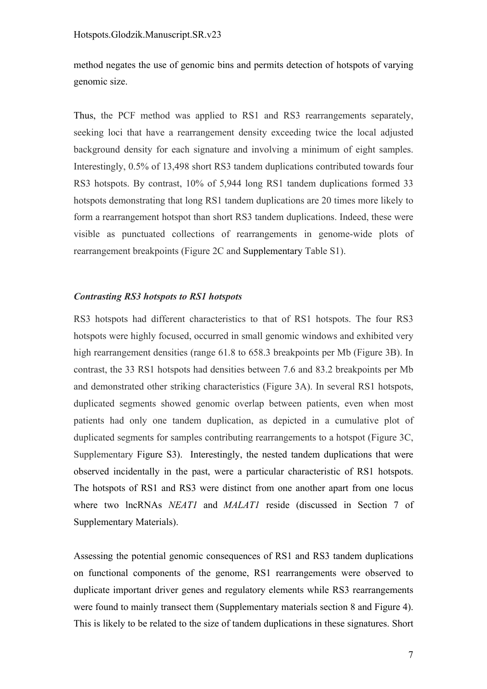method negates the use of genomic bins and permits detection of hotspots of varying genomic size.

Thus, the PCF method was applied to RS1 and RS3 rearrangements separately, seeking loci that have a rearrangement density exceeding twice the local adjusted background density for each signature and involving a minimum of eight samples. Interestingly, 0.5% of 13,498 short RS3 tandem duplications contributed towards four RS3 hotspots. By contrast, 10% of 5,944 long RS1 tandem duplications formed 33 hotspots demonstrating that long RS1 tandem duplications are 20 times more likely to form a rearrangement hotspot than short RS3 tandem duplications. Indeed, these were visible as punctuated collections of rearrangements in genome-wide plots of rearrangement breakpoints (Figure 2C and Supplementary Table S1).

#### *Contrasting RS3 hotspots to RS1 hotspots*

RS3 hotspots had different characteristics to that of RS1 hotspots. The four RS3 hotspots were highly focused, occurred in small genomic windows and exhibited very high rearrangement densities (range 61.8 to 658.3 breakpoints per Mb (Figure 3B). In contrast, the 33 RS1 hotspots had densities between 7.6 and 83.2 breakpoints per Mb and demonstrated other striking characteristics (Figure 3A). In several RS1 hotspots, duplicated segments showed genomic overlap between patients, even when most patients had only one tandem duplication, as depicted in a cumulative plot of duplicated segments for samples contributing rearrangements to a hotspot (Figure 3C, Supplementary Figure S3). Interestingly, the nested tandem duplications that were observed incidentally in the past, were a particular characteristic of RS1 hotspots. The hotspots of RS1 and RS3 were distinct from one another apart from one locus where two lncRNAs *NEAT1* and *MALAT1* reside (discussed in Section 7 of Supplementary Materials).

Assessing the potential genomic consequences of RS1 and RS3 tandem duplications on functional components of the genome, RS1 rearrangements were observed to duplicate important driver genes and regulatory elements while RS3 rearrangements were found to mainly transect them (Supplementary materials section 8 and Figure 4). This is likely to be related to the size of tandem duplications in these signatures. Short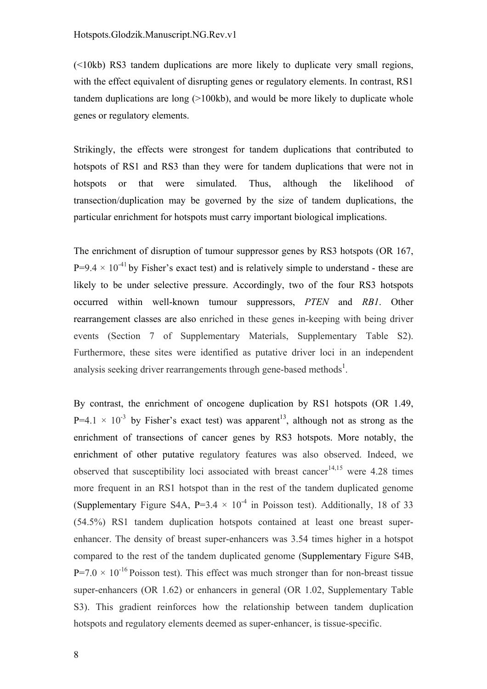(<10kb) RS3 tandem duplications are more likely to duplicate very small regions, with the effect equivalent of disrupting genes or regulatory elements. In contrast, RS1 tandem duplications are long (>100kb), and would be more likely to duplicate whole genes or regulatory elements.

Strikingly, the effects were strongest for tandem duplications that contributed to hotspots of RS1 and RS3 than they were for tandem duplications that were not in hotspots or that were simulated. Thus, although the likelihood of transection/duplication may be governed by the size of tandem duplications, the particular enrichment for hotspots must carry important biological implications.

The enrichment of disruption of tumour suppressor genes by RS3 hotspots (OR 167,  $P=9.4 \times 10^{-41}$  by Fisher's exact test) and is relatively simple to understand - these are likely to be under selective pressure. Accordingly, two of the four RS3 hotspots occurred within well-known tumour suppressors, *PTEN* and *RB1*. Other rearrangement classes are also enriched in these genes in-keeping with being driver events (Section 7 of Supplementary Materials, Supplementary Table S2). Furthermore, these sites were identified as putative driver loci in an independent analysis seeking driver rearrangements through gene-based methods<sup>1</sup>.

By contrast, the enrichment of oncogene duplication by RS1 hotspots (OR 1.49,  $P=4.1 \times 10^{-3}$  by Fisher's exact test) was apparent<sup>13</sup>, although not as strong as the enrichment of transections of cancer genes by RS3 hotspots. More notably, the enrichment of other putative regulatory features was also observed. Indeed, we observed that susceptibility loci associated with breast cancer<sup>14,15</sup> were 4.28 times more frequent in an RS1 hotspot than in the rest of the tandem duplicated genome (Supplementary Figure S4A,  $P=3.4 \times 10^{-4}$  in Poisson test). Additionally, 18 of 33 (54.5%) RS1 tandem duplication hotspots contained at least one breast superenhancer. The density of breast super-enhancers was 3.54 times higher in a hotspot compared to the rest of the tandem duplicated genome (Supplementary Figure S4B,  $P=7.0 \times 10^{-16}$  Poisson test). This effect was much stronger than for non-breast tissue super-enhancers (OR 1.62) or enhancers in general (OR 1.02, Supplementary Table S3). This gradient reinforces how the relationship between tandem duplication hotspots and regulatory elements deemed as super-enhancer, is tissue-specific.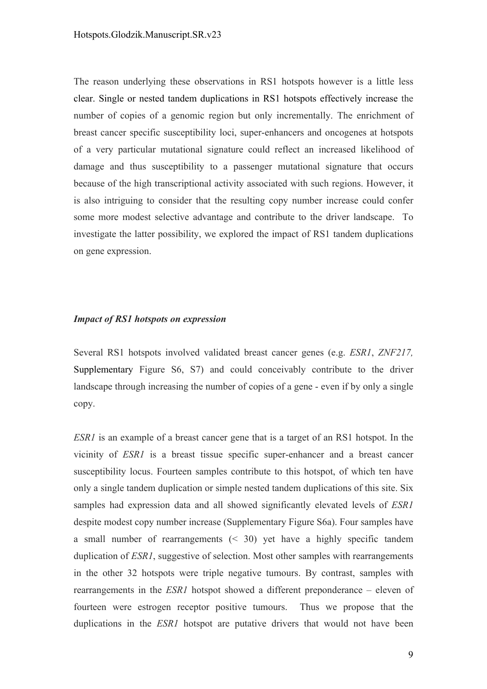The reason underlying these observations in RS1 hotspots however is a little less clear. Single or nested tandem duplications in RS1 hotspots effectively increase the number of copies of a genomic region but only incrementally. The enrichment of breast cancer specific susceptibility loci, super-enhancers and oncogenes at hotspots of a very particular mutational signature could reflect an increased likelihood of damage and thus susceptibility to a passenger mutational signature that occurs because of the high transcriptional activity associated with such regions. However, it is also intriguing to consider that the resulting copy number increase could confer some more modest selective advantage and contribute to the driver landscape. To investigate the latter possibility, we explored the impact of RS1 tandem duplications on gene expression.

#### *Impact of RS1 hotspots on expression*

Several RS1 hotspots involved validated breast cancer genes (e.g. *ESR1*, *ZNF217,* Supplementary Figure S6, S7) and could conceivably contribute to the driver landscape through increasing the number of copies of a gene - even if by only a single copy.

*ESR1* is an example of a breast cancer gene that is a target of an RS1 hotspot. In the vicinity of *ESR1* is a breast tissue specific super-enhancer and a breast cancer susceptibility locus. Fourteen samples contribute to this hotspot, of which ten have only a single tandem duplication or simple nested tandem duplications of this site. Six samples had expression data and all showed significantly elevated levels of *ESR1* despite modest copy number increase (Supplementary Figure S6a). Four samples have a small number of rearrangements (< 30) yet have a highly specific tandem duplication of *ESR1*, suggestive of selection. Most other samples with rearrangements in the other 32 hotspots were triple negative tumours. By contrast, samples with rearrangements in the *ESR1* hotspot showed a different preponderance – eleven of fourteen were estrogen receptor positive tumours. Thus we propose that the duplications in the *ESR1* hotspot are putative drivers that would not have been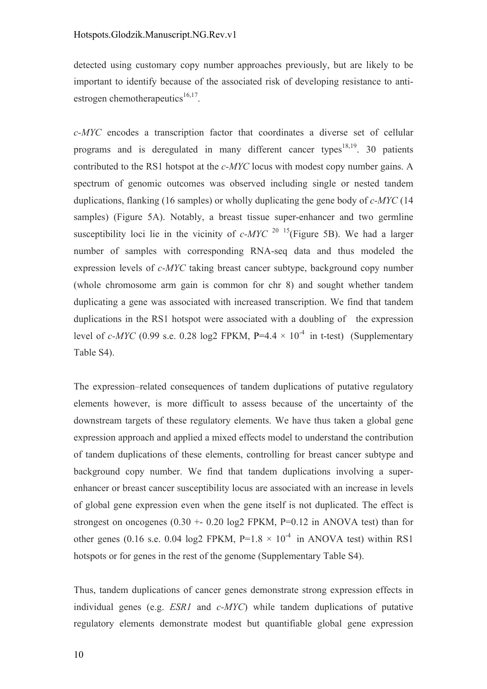detected using customary copy number approaches previously, but are likely to be important to identify because of the associated risk of developing resistance to antiestrogen chemotherapeutics $^{16,17}$ .

*c-MYC* encodes a transcription factor that coordinates a diverse set of cellular programs and is deregulated in many different cancer types<sup>18,19</sup>. 30 patients contributed to the RS1 hotspot at the *c-MYC* locus with modest copy number gains. A spectrum of genomic outcomes was observed including single or nested tandem duplications, flanking (16 samples) or wholly duplicating the gene body of *c-MYC* (14 samples) (Figure 5A). Notably, a breast tissue super-enhancer and two germline susceptibility loci lie in the vicinity of  $c-MYC$  <sup>20</sup> <sup>15</sup>(Figure 5B). We had a larger number of samples with corresponding RNA-seq data and thus modeled the expression levels of *c-MYC* taking breast cancer subtype, background copy number (whole chromosome arm gain is common for chr 8) and sought whether tandem duplicating a gene was associated with increased transcription. We find that tandem duplications in the RS1 hotspot were associated with a doubling of the expression level of *c-MYC* (0.99 s.e. 0.28 log2 FPKM,  $P=4.4 \times 10^{-4}$  in t-test) (Supplementary Table S4).

The expression–related consequences of tandem duplications of putative regulatory elements however, is more difficult to assess because of the uncertainty of the downstream targets of these regulatory elements. We have thus taken a global gene expression approach and applied a mixed effects model to understand the contribution of tandem duplications of these elements, controlling for breast cancer subtype and background copy number. We find that tandem duplications involving a superenhancer or breast cancer susceptibility locus are associated with an increase in levels of global gene expression even when the gene itself is not duplicated. The effect is strongest on oncogenes  $(0.30 + 0.20 \log 2$  FPKM, P=0.12 in ANOVA test) than for other genes (0.16 s.e. 0.04 log2 FPKM,  $P=1.8 \times 10^{-4}$  in ANOVA test) within RS1 hotspots or for genes in the rest of the genome (Supplementary Table S4).

Thus, tandem duplications of cancer genes demonstrate strong expression effects in individual genes (e.g. *ESR1* and *c-MYC*) while tandem duplications of putative regulatory elements demonstrate modest but quantifiable global gene expression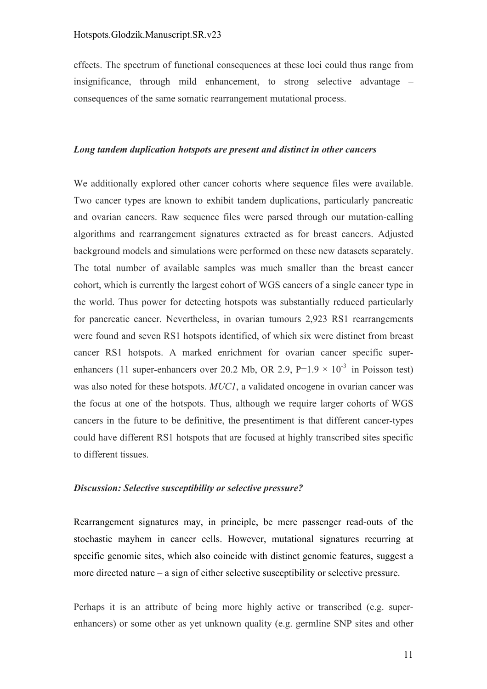effects. The spectrum of functional consequences at these loci could thus range from insignificance, through mild enhancement, to strong selective advantage – consequences of the same somatic rearrangement mutational process.

#### *Long tandem duplication hotspots are present and distinct in other cancers*

We additionally explored other cancer cohorts where sequence files were available. Two cancer types are known to exhibit tandem duplications, particularly pancreatic and ovarian cancers. Raw sequence files were parsed through our mutation-calling algorithms and rearrangement signatures extracted as for breast cancers. Adjusted background models and simulations were performed on these new datasets separately. The total number of available samples was much smaller than the breast cancer cohort, which is currently the largest cohort of WGS cancers of a single cancer type in the world. Thus power for detecting hotspots was substantially reduced particularly for pancreatic cancer. Nevertheless, in ovarian tumours 2,923 RS1 rearrangements were found and seven RS1 hotspots identified, of which six were distinct from breast cancer RS1 hotspots. A marked enrichment for ovarian cancer specific superenhancers (11 super-enhancers over 20.2 Mb, OR 2.9,  $P=1.9 \times 10^{-3}$  in Poisson test) was also noted for these hotspots. *MUC1*, a validated oncogene in ovarian cancer was the focus at one of the hotspots. Thus, although we require larger cohorts of WGS cancers in the future to be definitive, the presentiment is that different cancer-types could have different RS1 hotspots that are focused at highly transcribed sites specific to different tissues.

#### *Discussion: Selective susceptibility or selective pressure?*

Rearrangement signatures may, in principle, be mere passenger read-outs of the stochastic mayhem in cancer cells. However, mutational signatures recurring at specific genomic sites, which also coincide with distinct genomic features, suggest a more directed nature – a sign of either selective susceptibility or selective pressure.

Perhaps it is an attribute of being more highly active or transcribed (e.g. superenhancers) or some other as yet unknown quality (e.g. germline SNP sites and other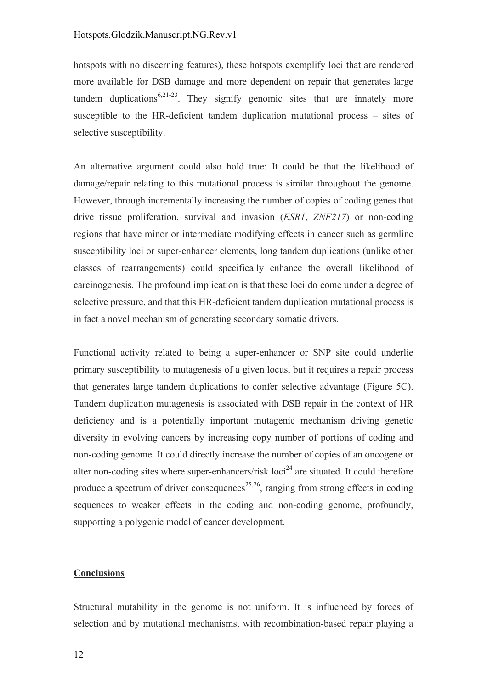hotspots with no discerning features), these hotspots exemplify loci that are rendered more available for DSB damage and more dependent on repair that generates large tandem duplications<sup>6,21-23</sup>. They signify genomic sites that are innately more susceptible to the HR-deficient tandem duplication mutational process – sites of selective susceptibility.

An alternative argument could also hold true: It could be that the likelihood of damage/repair relating to this mutational process is similar throughout the genome. However, through incrementally increasing the number of copies of coding genes that drive tissue proliferation, survival and invasion (*ESR1*, *ZNF217*) or non-coding regions that have minor or intermediate modifying effects in cancer such as germline susceptibility loci or super-enhancer elements, long tandem duplications (unlike other classes of rearrangements) could specifically enhance the overall likelihood of carcinogenesis. The profound implication is that these loci do come under a degree of selective pressure, and that this HR-deficient tandem duplication mutational process is in fact a novel mechanism of generating secondary somatic drivers.

Functional activity related to being a super-enhancer or SNP site could underlie primary susceptibility to mutagenesis of a given locus, but it requires a repair process that generates large tandem duplications to confer selective advantage (Figure 5C). Tandem duplication mutagenesis is associated with DSB repair in the context of HR deficiency and is a potentially important mutagenic mechanism driving genetic diversity in evolving cancers by increasing copy number of portions of coding and non-coding genome. It could directly increase the number of copies of an oncogene or alter non-coding sites where super-enhancers/risk  $\text{loci}^{24}$  are situated. It could therefore produce a spectrum of driver consequences<sup>25,26</sup>, ranging from strong effects in coding sequences to weaker effects in the coding and non-coding genome, profoundly, supporting a polygenic model of cancer development.

#### **Conclusions**

Structural mutability in the genome is not uniform. It is influenced by forces of selection and by mutational mechanisms, with recombination-based repair playing a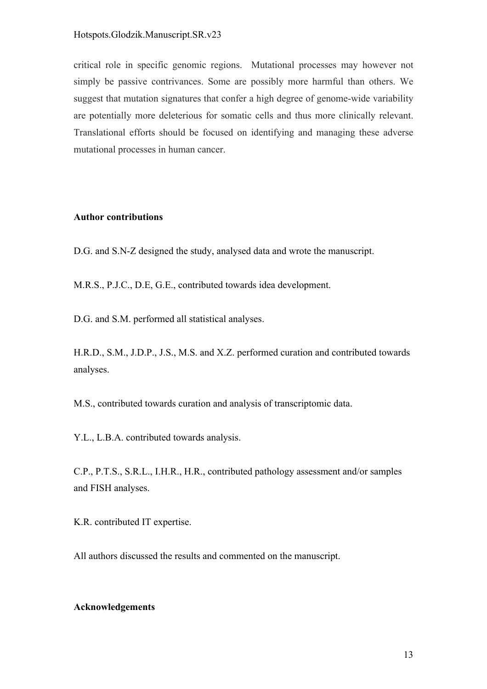#### Hotspots.Glodzik.Manuscript.SR.v23

critical role in specific genomic regions. Mutational processes may however not simply be passive contrivances. Some are possibly more harmful than others. We suggest that mutation signatures that confer a high degree of genome-wide variability are potentially more deleterious for somatic cells and thus more clinically relevant. Translational efforts should be focused on identifying and managing these adverse mutational processes in human cancer.

#### **Author contributions**

D.G. and S.N-Z designed the study, analysed data and wrote the manuscript.

M.R.S., P.J.C., D.E, G.E., contributed towards idea development.

D.G. and S.M. performed all statistical analyses.

H.R.D., S.M., J.D.P., J.S., M.S. and X.Z. performed curation and contributed towards analyses.

M.S., contributed towards curation and analysis of transcriptomic data.

Y.L., L.B.A. contributed towards analysis.

C.P., P.T.S., S.R.L., I.H.R., H.R., contributed pathology assessment and/or samples and FISH analyses.

K.R. contributed IT expertise.

All authors discussed the results and commented on the manuscript.

#### **Acknowledgements**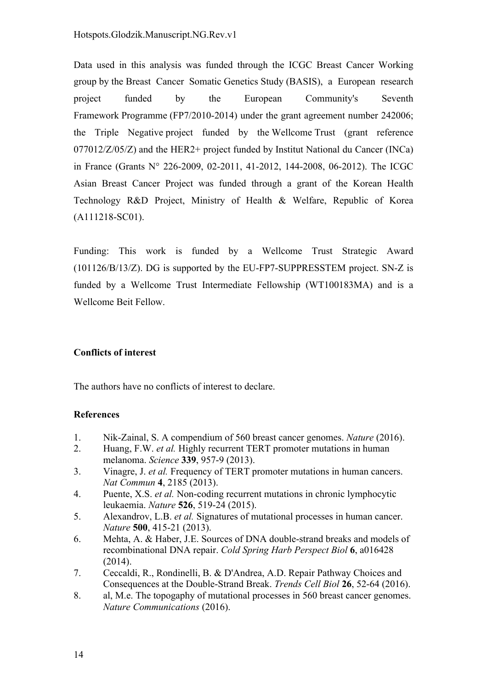Data used in this analysis was funded through the ICGC Breast Cancer Working group by the Breast Cancer Somatic Genetics Study (BASIS), a European research project funded by the European Community's Seventh Framework Programme (FP7/2010-2014) under the grant agreement number 242006; the Triple Negative project funded by the Wellcome Trust (grant reference 077012/Z/05/Z) and the HER2+ project funded by Institut National du Cancer (INCa) in France (Grants N° 226-2009, 02-2011, 41-2012, 144-2008, 06-2012). The ICGC Asian Breast Cancer Project was funded through a grant of the Korean Health Technology R&D Project, Ministry of Health & Welfare, Republic of Korea (A111218-SC01).

Funding: This work is funded by a Wellcome Trust Strategic Award (101126/B/13/Z). DG is supported by the EU-FP7-SUPPRESSTEM project. SN-Z is funded by a Wellcome Trust Intermediate Fellowship (WT100183MA) and is a Wellcome Beit Fellow.

## **Conflicts of interest**

The authors have no conflicts of interest to declare.

## **References**

- 1. Nik-Zainal, S. A compendium of 560 breast cancer genomes. *Nature* (2016).
- 2. Huang, F.W. *et al.* Highly recurrent TERT promoter mutations in human melanoma. *Science* **339**, 957-9 (2013).
- 3. Vinagre, J. *et al.* Frequency of TERT promoter mutations in human cancers. *Nat Commun* **4**, 2185 (2013).
- 4. Puente, X.S. *et al.* Non-coding recurrent mutations in chronic lymphocytic leukaemia. *Nature* **526**, 519-24 (2015).
- 5. Alexandrov, L.B. *et al.* Signatures of mutational processes in human cancer. *Nature* **500**, 415-21 (2013).
- 6. Mehta, A. & Haber, J.E. Sources of DNA double-strand breaks and models of recombinational DNA repair. *Cold Spring Harb Perspect Biol* **6**, a016428 (2014).
- 7. Ceccaldi, R., Rondinelli, B. & D'Andrea, A.D. Repair Pathway Choices and Consequences at the Double-Strand Break. *Trends Cell Biol* **26**, 52-64 (2016).
- 8. al, M.e. The topogaphy of mutational processes in 560 breast cancer genomes. *Nature Communications* (2016).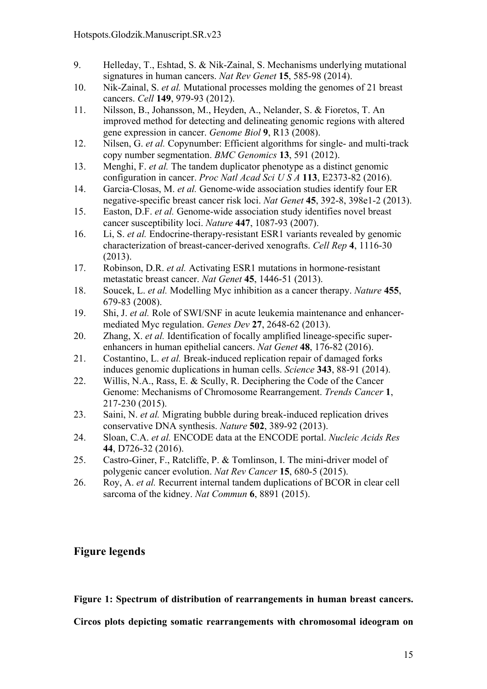- 9. Helleday, T., Eshtad, S. & Nik-Zainal, S. Mechanisms underlying mutational signatures in human cancers. *Nat Rev Genet* **15**, 585-98 (2014).
- 10. Nik-Zainal, S. *et al.* Mutational processes molding the genomes of 21 breast cancers. *Cell* **149**, 979-93 (2012).
- 11. Nilsson, B., Johansson, M., Heyden, A., Nelander, S. & Fioretos, T. An improved method for detecting and delineating genomic regions with altered gene expression in cancer. *Genome Biol* **9**, R13 (2008).
- 12. Nilsen, G. *et al.* Copynumber: Efficient algorithms for single- and multi-track copy number segmentation. *BMC Genomics* **13**, 591 (2012).
- 13. Menghi, F. *et al.* The tandem duplicator phenotype as a distinct genomic configuration in cancer. *Proc Natl Acad Sci U S A* **113**, E2373-82 (2016).
- 14. Garcia-Closas, M. *et al.* Genome-wide association studies identify four ER negative-specific breast cancer risk loci. *Nat Genet* **45**, 392-8, 398e1-2 (2013).
- 15. Easton, D.F. *et al.* Genome-wide association study identifies novel breast cancer susceptibility loci. *Nature* **447**, 1087-93 (2007).
- 16. Li, S. *et al.* Endocrine-therapy-resistant ESR1 variants revealed by genomic characterization of breast-cancer-derived xenografts. *Cell Rep* **4**, 1116-30 (2013).
- 17. Robinson, D.R. *et al.* Activating ESR1 mutations in hormone-resistant metastatic breast cancer. *Nat Genet* **45**, 1446-51 (2013).
- 18. Soucek, L. *et al.* Modelling Myc inhibition as a cancer therapy. *Nature* **455**, 679-83 (2008).
- 19. Shi, J. *et al.* Role of SWI/SNF in acute leukemia maintenance and enhancermediated Myc regulation. *Genes Dev* **27**, 2648-62 (2013).
- 20. Zhang, X. *et al.* Identification of focally amplified lineage-specific superenhancers in human epithelial cancers. *Nat Genet* **48**, 176-82 (2016).
- 21. Costantino, L. *et al.* Break-induced replication repair of damaged forks induces genomic duplications in human cells. *Science* **343**, 88-91 (2014).
- 22. Willis, N.A., Rass, E. & Scully, R. Deciphering the Code of the Cancer Genome: Mechanisms of Chromosome Rearrangement. *Trends Cancer* **1**, 217-230 (2015).
- 23. Saini, N. *et al.* Migrating bubble during break-induced replication drives conservative DNA synthesis. *Nature* **502**, 389-92 (2013).
- 24. Sloan, C.A. *et al.* ENCODE data at the ENCODE portal. *Nucleic Acids Res* **44**, D726-32 (2016).
- 25. Castro-Giner, F., Ratcliffe, P. & Tomlinson, I. The mini-driver model of polygenic cancer evolution. *Nat Rev Cancer* **15**, 680-5 (2015).
- 26. Roy, A. *et al.* Recurrent internal tandem duplications of BCOR in clear cell sarcoma of the kidney. *Nat Commun* **6**, 8891 (2015).

## **Figure legends**

**Figure 1: Spectrum of distribution of rearrangements in human breast cancers.**

**Circos plots depicting somatic rearrangements with chromosomal ideogram on**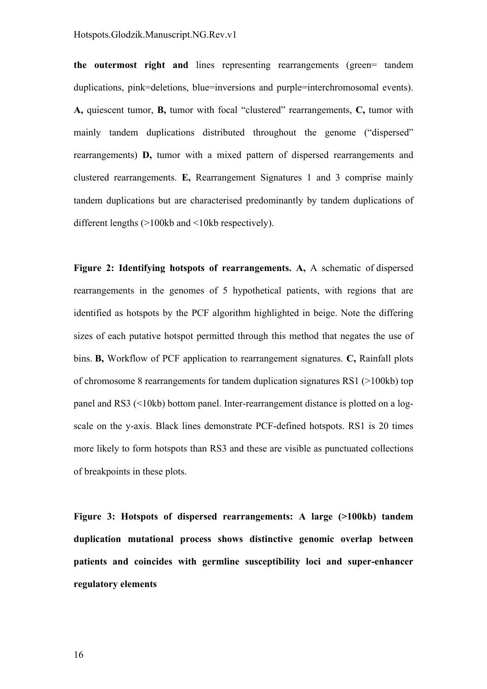**the outermost right and** lines representing rearrangements (green= tandem duplications, pink=deletions, blue=inversions and purple=interchromosomal events). **A,** quiescent tumor, **B,** tumor with focal "clustered" rearrangements, **C,** tumor with mainly tandem duplications distributed throughout the genome ("dispersed" rearrangements) **D,** tumor with a mixed pattern of dispersed rearrangements and clustered rearrangements. **E,** Rearrangement Signatures 1 and 3 comprise mainly tandem duplications but are characterised predominantly by tandem duplications of different lengths (>100kb and <10kb respectively).

**Figure 2: Identifying hotspots of rearrangements. A,** A schematic of dispersed rearrangements in the genomes of 5 hypothetical patients, with regions that are identified as hotspots by the PCF algorithm highlighted in beige. Note the differing sizes of each putative hotspot permitted through this method that negates the use of bins. **B,** Workflow of PCF application to rearrangement signatures. **C,** Rainfall plots of chromosome 8 rearrangements for tandem duplication signatures RS1 (>100kb) top panel and RS3 (<10kb) bottom panel. Inter-rearrangement distance is plotted on a logscale on the y-axis. Black lines demonstrate PCF-defined hotspots. RS1 is 20 times more likely to form hotspots than RS3 and these are visible as punctuated collections of breakpoints in these plots.

**Figure 3: Hotspots of dispersed rearrangements: A large (>100kb) tandem duplication mutational process shows distinctive genomic overlap between patients and coincides with germline susceptibility loci and super-enhancer regulatory elements**

16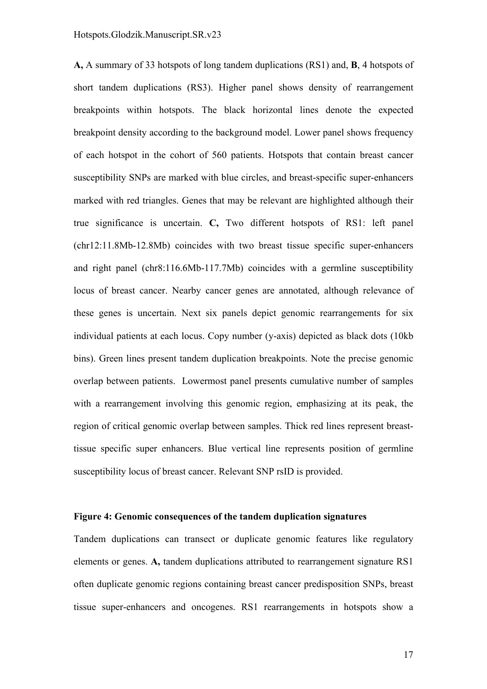**A,** A summary of 33 hotspots of long tandem duplications (RS1) and, **B**, 4 hotspots of short tandem duplications (RS3). Higher panel shows density of rearrangement breakpoints within hotspots. The black horizontal lines denote the expected breakpoint density according to the background model. Lower panel shows frequency of each hotspot in the cohort of 560 patients. Hotspots that contain breast cancer susceptibility SNPs are marked with blue circles, and breast-specific super-enhancers marked with red triangles. Genes that may be relevant are highlighted although their true significance is uncertain. **C,** Two different hotspots of RS1: left panel (chr12:11.8Mb-12.8Mb) coincides with two breast tissue specific super-enhancers and right panel (chr8:116.6Mb-117.7Mb) coincides with a germline susceptibility locus of breast cancer. Nearby cancer genes are annotated, although relevance of these genes is uncertain. Next six panels depict genomic rearrangements for six individual patients at each locus. Copy number (y-axis) depicted as black dots (10kb bins). Green lines present tandem duplication breakpoints. Note the precise genomic overlap between patients. Lowermost panel presents cumulative number of samples with a rearrangement involving this genomic region, emphasizing at its peak, the region of critical genomic overlap between samples. Thick red lines represent breasttissue specific super enhancers. Blue vertical line represents position of germline susceptibility locus of breast cancer. Relevant SNP rsID is provided.

#### **Figure 4: Genomic consequences of the tandem duplication signatures**

Tandem duplications can transect or duplicate genomic features like regulatory elements or genes. **A,** tandem duplications attributed to rearrangement signature RS1 often duplicate genomic regions containing breast cancer predisposition SNPs, breast tissue super-enhancers and oncogenes. RS1 rearrangements in hotspots show a

17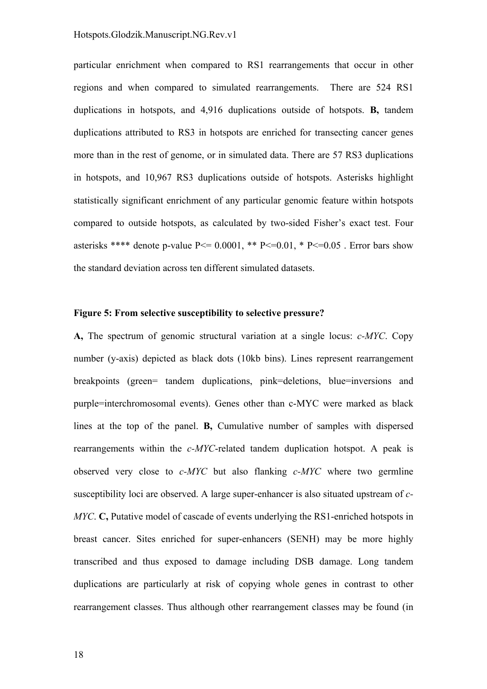particular enrichment when compared to RS1 rearrangements that occur in other regions and when compared to simulated rearrangements. There are 524 RS1 duplications in hotspots, and 4,916 duplications outside of hotspots. **B,** tandem duplications attributed to RS3 in hotspots are enriched for transecting cancer genes more than in the rest of genome, or in simulated data. There are 57 RS3 duplications in hotspots, and 10,967 RS3 duplications outside of hotspots. Asterisks highlight statistically significant enrichment of any particular genomic feature within hotspots compared to outside hotspots, as calculated by two-sided Fisher's exact test. Four asterisks \*\*\*\* denote p-value  $P \le 0.0001$ , \*\*  $P \le 0.01$ , \*  $P \le 0.05$ . Error bars show the standard deviation across ten different simulated datasets.

#### **Figure 5: From selective susceptibility to selective pressure?**

**A,** The spectrum of genomic structural variation at a single locus: *c-MYC*. Copy number (y-axis) depicted as black dots (10kb bins). Lines represent rearrangement breakpoints (green= tandem duplications, pink=deletions, blue=inversions and purple=interchromosomal events). Genes other than c-MYC were marked as black lines at the top of the panel. **B,** Cumulative number of samples with dispersed rearrangements within the *c-MYC*-related tandem duplication hotspot. A peak is observed very close to *c-MYC* but also flanking *c-MYC* where two germline susceptibility loci are observed. A large super-enhancer is also situated upstream of *c-MYC*. **C**, Putative model of cascade of events underlying the RS1-enriched hotspots in breast cancer. Sites enriched for super-enhancers (SENH) may be more highly transcribed and thus exposed to damage including DSB damage. Long tandem duplications are particularly at risk of copying whole genes in contrast to other rearrangement classes. Thus although other rearrangement classes may be found (in